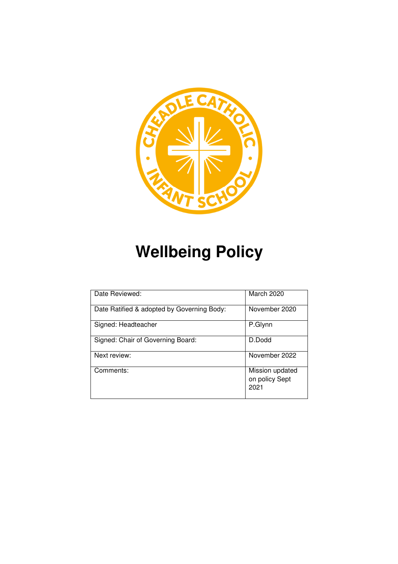

# **Wellbeing Policy**

| Date Reviewed:                             | March 2020                                |
|--------------------------------------------|-------------------------------------------|
| Date Ratified & adopted by Governing Body: | November 2020                             |
| Signed: Headteacher                        | P.Glynn                                   |
| Signed: Chair of Governing Board:          | D.Dodd                                    |
| Next review:                               | November 2022                             |
| Comments:                                  | Mission updated<br>on policy Sept<br>2021 |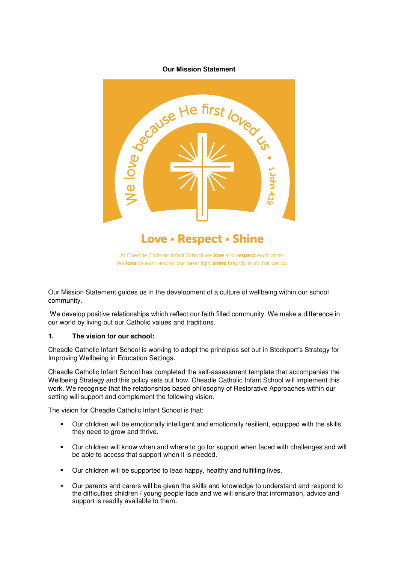# **Our Mission Statement**



Our Mission Statement guides us in the development of a culture of wellbeing within our school community.

 We develop positive relationships which reflect our faith filled community. We make a difference in our world by living out our Catholic values and traditions.

#### **1. The vision for our school:**

Cheadle Catholic Infant School is working to adopt the principles set out in Stockport's Strategy for Improving Wellbeing in Education Settings.

Cheadle Catholic Infant School has completed the self-assessment template that accompanies the Wellbeing Strategy and this policy sets out how Cheadle Catholic Infant School will implement this work. We recognise that the relationships based philosophy of Restorative Approaches within our setting will support and complement the following vision.

The vision for Cheadle Catholic Infant School is that:

- Our children will be emotionally intelligent and emotionally resilient, equipped with the skills they need to grow and thrive.
- Our children will know when and where to go for support when faced with challenges and will be able to access that support when it is needed.
- Our children will be supported to lead happy, healthy and fulfilling lives.
- Our parents and carers will be given the skills and knowledge to understand and respond to the difficulties children / young people face and we will ensure that information, advice and support is readily available to them.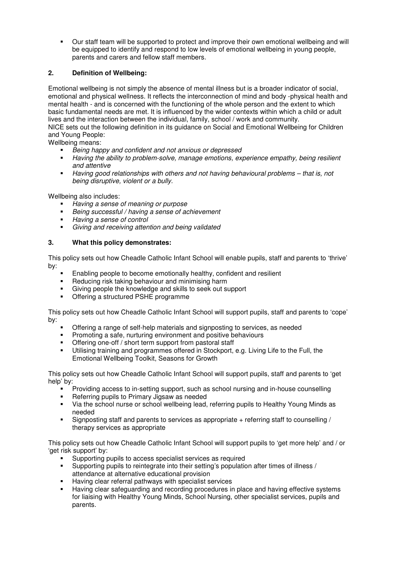Our staff team will be supported to protect and improve their own emotional wellbeing and will be equipped to identify and respond to low levels of emotional wellbeing in young people, parents and carers and fellow staff members.

# **2. Definition of Wellbeing:**

Emotional wellbeing is not simply the absence of mental illness but is a broader indicator of social, emotional and physical wellness. It reflects the interconnection of mind and body -physical health and mental health - and is concerned with the functioning of the whole person and the extent to which basic fundamental needs are met. It is influenced by the wider contexts within which a child or adult lives and the interaction between the individual, family, school / work and community. NICE sets out the following definition in its guidance on Social and Emotional Wellbeing for Children and Young People:

Wellbeing means:

- Being happy and confident and not anxious or depressed
- Having the ability to problem-solve, manage emotions, experience empathy, being resilient and attentive
- Having good relationships with others and not having behavioural problems that is, not being disruptive, violent or a bully.

Wellbeing also includes:

- Having a sense of meaning or purpose<br>Boing aucocoatul / bouing a sense of a
- Being successful / having a sense of achievement
- Having a sense of control
- Giving and receiving attention and being validated

# **3. What this policy demonstrates:**

This policy sets out how Cheadle Catholic Infant School will enable pupils, staff and parents to 'thrive' by:

- Enabling people to become emotionally healthy, confident and resilient
- **Reducing risk taking behaviour and minimising harm**
- Giving people the knowledge and skills to seek out support
- Offering a structured PSHE programme

This policy sets out how Cheadle Catholic Infant School will support pupils, staff and parents to 'cope' by:

- Offering a range of self-help materials and signposting to services, as needed
- **Promoting a safe, nurturing environment and positive behaviours**
- Offering one-off / short term support from pastoral staff
- Utilising training and programmes offered in Stockport, e.g. Living Life to the Full, the Emotional Wellbeing Toolkit, Seasons for Growth

This policy sets out how Cheadle Catholic Infant School will support pupils, staff and parents to 'get help' by:

- Providing access to in-setting support, such as school nursing and in-house counselling
- **Referring pupils to Primary Jigsaw as needed**
- Via the school nurse or school wellbeing lead, referring pupils to Healthy Young Minds as needed
- $\blacksquare$  Signposting staff and parents to services as appropriate + referring staff to counselling / therapy services as appropriate

This policy sets out how Cheadle Catholic Infant School will support pupils to 'get more help' and / or 'get risk support' by:

- Supporting pupils to access specialist services as required
- Supporting pupils to reintegrate into their setting's population after times of illness / attendance at alternative educational provision
- Having clear referral pathways with specialist services
- Having clear safeguarding and recording procedures in place and having effective systems for liaising with Healthy Young Minds, School Nursing, other specialist services, pupils and parents.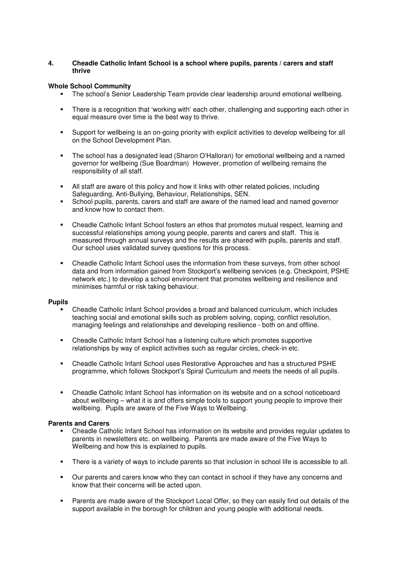# **4. Cheadle Catholic Infant School is a school where pupils, parents / carers and staff thrive**

# **Whole School Community**

- The school's Senior Leadership Team provide clear leadership around emotional wellbeing.
- There is a recognition that 'working with' each other, challenging and supporting each other in equal measure over time is the best way to thrive.
- Support for wellbeing is an on-going priority with explicit activities to develop wellbeing for all on the School Development Plan.
- The school has a designated lead (Sharon O'Halloran) for emotional wellbeing and a named governor for wellbeing (Sue Boardman) However, promotion of wellbeing remains the responsibility of all staff.
- All staff are aware of this policy and how it links with other related policies, including Safeguarding, Anti-Bullying, Behaviour, Relationships, SEN.
- School pupils, parents, carers and staff are aware of the named lead and named governor and know how to contact them.
- Cheadle Catholic Infant School fosters an ethos that promotes mutual respect, learning and successful relationships among young people, parents and carers and staff. This is measured through annual surveys and the results are shared with pupils, parents and staff. Our school uses validated survey questions for this process.
- Cheadle Catholic Infant School uses the information from these surveys, from other school data and from information gained from Stockport's wellbeing services (e.g. Checkpoint, PSHE network etc.) to develop a school environment that promotes wellbeing and resilience and minimises harmful or risk taking behaviour.

#### **Pupils**

- Cheadle Catholic Infant School provides a broad and balanced curriculum, which includes teaching social and emotional skills such as problem solving, coping, conflict resolution, managing feelings and relationships and developing resilience - both on and offline.
- Cheadle Catholic Infant School has a listening culture which promotes supportive relationships by way of explicit activities such as regular circles, check-in etc.
- Cheadle Catholic Infant School uses Restorative Approaches and has a structured PSHE programme, which follows Stockport's Spiral Curriculum and meets the needs of all pupils.
- Cheadle Catholic Infant School has information on its website and on a school noticeboard about wellbeing – what it is and offers simple tools to support young people to improve their wellbeing. Pupils are aware of the Five Ways to Wellbeing.

### **Parents and Carers**

- Cheadle Catholic Infant School has information on its website and provides regular updates to parents in newsletters etc. on wellbeing. Parents are made aware of the Five Ways to Wellbeing and how this is explained to pupils.
- There is a variety of ways to include parents so that inclusion in school life is accessible to all.
- Our parents and carers know who they can contact in school if they have any concerns and know that their concerns will be acted upon.
- Parents are made aware of the Stockport Local Offer, so they can easily find out details of the support available in the borough for children and young people with additional needs.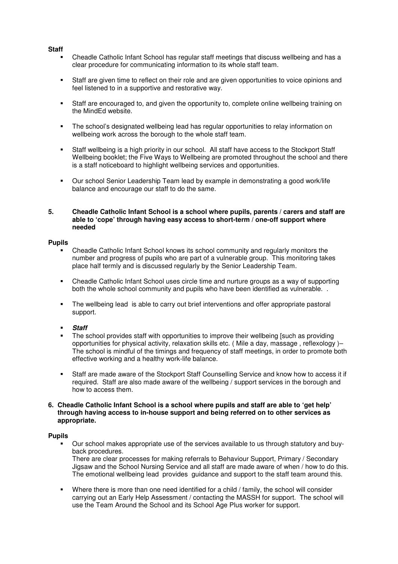### **Staff**

- Cheadle Catholic Infant School has regular staff meetings that discuss wellbeing and has a clear procedure for communicating information to its whole staff team.
- Staff are given time to reflect on their role and are given opportunities to voice opinions and feel listened to in a supportive and restorative way.
- Staff are encouraged to, and given the opportunity to, complete online wellbeing training on the MindEd website.
- The school's designated wellbeing lead has regular opportunities to relay information on wellbeing work across the borough to the whole staff team.
- Staff wellbeing is a high priority in our school. All staff have access to the Stockport Staff Wellbeing booklet; the Five Ways to Wellbeing are promoted throughout the school and there is a staff noticeboard to highlight wellbeing services and opportunities.
- Our school Senior Leadership Team lead by example in demonstrating a good work/life balance and encourage our staff to do the same.

# **5. Cheadle Catholic Infant School is a school where pupils, parents / carers and staff are able to 'cope' through having easy access to short-term / one-off support where needed**

# **Pupils**

- Cheadle Catholic Infant School knows its school community and regularly monitors the number and progress of pupils who are part of a vulnerable group. This monitoring takes place half termly and is discussed regularly by the Senior Leadership Team.
- Cheadle Catholic Infant School uses circle time and nurture groups as a way of supporting both the whole school community and pupils who have been identified as vulnerable. .
- The wellbeing lead is able to carry out brief interventions and offer appropriate pastoral support.

# **Staff**

- The school provides staff with opportunities to improve their wellbeing [such as providing opportunities for physical activity, relaxation skills etc. ( Mile a day, massage , reflexology )– The school is mindful of the timings and frequency of staff meetings, in order to promote both effective working and a healthy work-life balance.
- Staff are made aware of the Stockport Staff Counselling Service and know how to access it if required. Staff are also made aware of the wellbeing / support services in the borough and how to access them.

### **6. Cheadle Catholic Infant School is a school where pupils and staff are able to 'get help' through having access to in-house support and being referred on to other services as appropriate.**

#### **Pupils**

 Our school makes appropriate use of the services available to us through statutory and buyback procedures.

There are clear processes for making referrals to Behaviour Support, Primary / Secondary Jigsaw and the School Nursing Service and all staff are made aware of when / how to do this. The emotional wellbeing lead provides guidance and support to the staff team around this.

 Where there is more than one need identified for a child / family, the school will consider carrying out an Early Help Assessment / contacting the MASSH for support. The school will use the Team Around the School and its School Age Plus worker for support.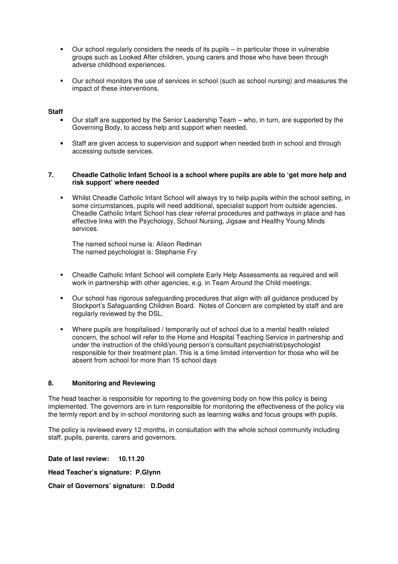- Our school regularly considers the needs of its pupils in particular those in vulnerable groups such as Looked After children, young carers and those who have been through adverse childhood experiences.
- Our school monitors the use of services in school (such as school nursing) and measures the impact of these interventions.

## **Staff**

- Our staff are supported by the Senior Leadership Team who, in turn, are supported by the Governing Body, to access help and support when needed.
- Staff are given access to supervision and support when needed both in school and through accessing outside services.

## **7. Cheadle Catholic Infant School is a school where pupils are able to 'get more help and risk support' where needed**

 Whilst Cheadle Catholic Infant School will always try to help pupils within the school setting, in some circumstances, pupils will need additional, specialist support from outside agencies. Cheadle Catholic Infant School has clear referral procedures and pathways in place and has effective links with the Psychology, School Nursing, Jigsaw and Healthy Young Minds services.

The named school nurse is: Alison Redman The named psychologist is: Stephanie Fry

- Cheadle Catholic Infant School will complete Early Help Assessments as required and will work in partnership with other agencies, e.g. in Team Around the Child meetings.
- Our school has rigorous safeguarding procedures that align with all guidance produced by Stockport's Safeguarding Children Board. Notes of Concern are completed by staff and are regularly reviewed by the DSL.
- Where pupils are hospitalised / temporarily out of school due to a mental health related concern, the school will refer to the Home and Hospital Teaching Service in partnership and under the instruction of the child/young person's consultant psychiatrist/psychologist responsible for their treatment plan. This is a time limited intervention for those who will be absent from school for more than 15 school days

#### **8. Monitoring and Reviewing**

The head teacher is responsible for reporting to the governing body on how this policy is being implemented. The governors are in turn responsible for monitoring the effectiveness of the policy via the termly report and by in-school monitoring such as learning walks and focus groups with pupils.

The policy is reviewed every 12 months, in consultation with the whole school community including staff, pupils, parents, carers and governors.

**Date of last review: 10.11.20** 

**Head Teacher's signature: P.Glynn** 

**Chair of Governors' signature: D.Dodd**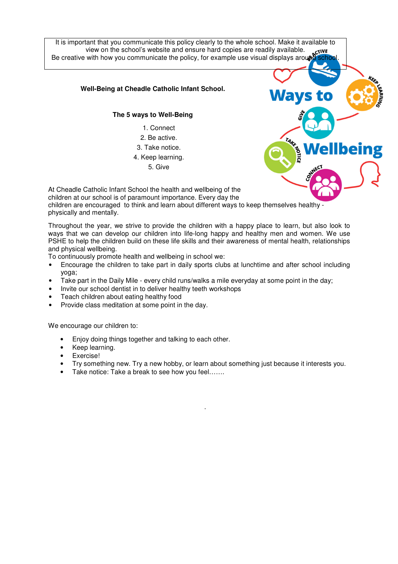It is important that you communicate this policy clearly to the whole school. Make it available to view on the school's website and ensure hard copies are readily available. Be creative with how you communicate the policy, for example use visual displays arour

# **Well-Being at Cheadle Catholic Infant School.**

# **The 5 ways to Well-Being**

- 1. Connect
- 2. Be active.
- 3. Take notice.
- 4. Keep learning.
	- 5. Give



At Cheadle Catholic Infant School the health and wellbeing of the children at our school is of paramount importance. Every day the children are encouraged to think and learn about different ways to keep themselves healthy physically and mentally.

Throughout the year, we strive to provide the children with a happy place to learn, but also look to ways that we can develop our children into life-long happy and healthy men and women. We use PSHE to help the children build on these life skills and their awareness of mental health, relationships and physical wellbeing.

To continuously promote health and wellbeing in school we:

- Encourage the children to take part in daily sports clubs at lunchtime and after school including yoga;
- Take part in the Daily Mile every child runs/walks a mile everyday at some point in the day;
- Invite our school dentist in to deliver healthy teeth workshops
- Teach children about eating healthy food
- Provide class meditation at some point in the day.

We encourage our children to:

- Enjoy doing things together and talking to each other.
- Keep learning.
- Exercise!
- Try something new. Try a new hobby, or learn about something just because it interests you.

.

Take notice: Take a break to see how you feel.......